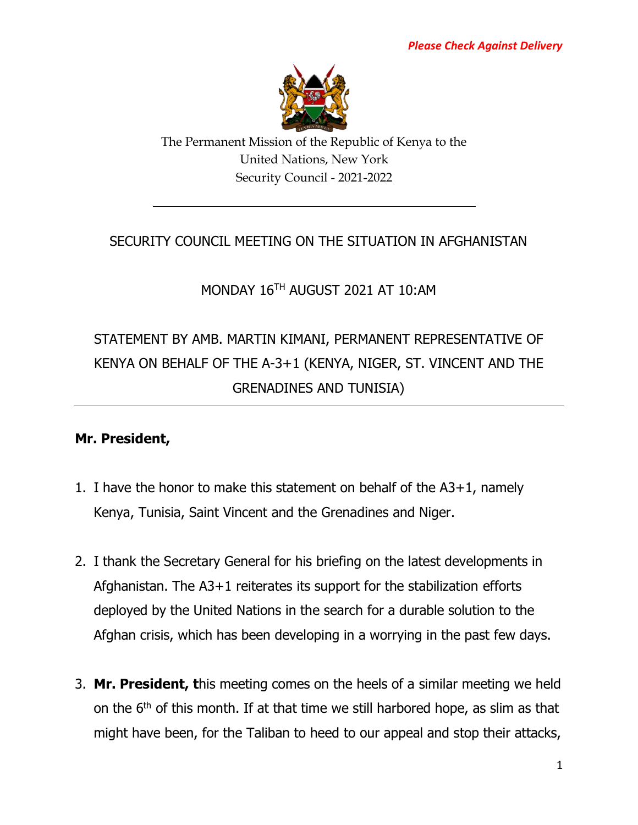

The Permanent Mission of the Republic of Kenya to the United Nations, New York Security Council - 2021-2022

## SECURITY COUNCIL MEETING ON THE SITUATION IN AFGHANISTAN

## MONDAY 16TH AUGUST 2021 AT 10:AM

# STATEMENT BY AMB. MARTIN KIMANI, PERMANENT REPRESENTATIVE OF KENYA ON BEHALF OF THE A-3+1 (KENYA, NIGER, ST. VINCENT AND THE GRENADINES AND TUNISIA)

### **Mr. President,**

- 1. I have the honor to make this statement on behalf of the A3+1, namely Kenya, Tunisia, Saint Vincent and the Grenadines and Niger.
- 2. I thank the Secretary General for his briefing on the latest developments in Afghanistan. The A3+1 reiterates its support for the stabilization efforts deployed by the United Nations in the search for a durable solution to the Afghan crisis, which has been developing in a worrying in the past few days.
- 3. **Mr. President, t**his meeting comes on the heels of a similar meeting we held on the  $6<sup>th</sup>$  of this month. If at that time we still harbored hope, as slim as that might have been, for the Taliban to heed to our appeal and stop their attacks,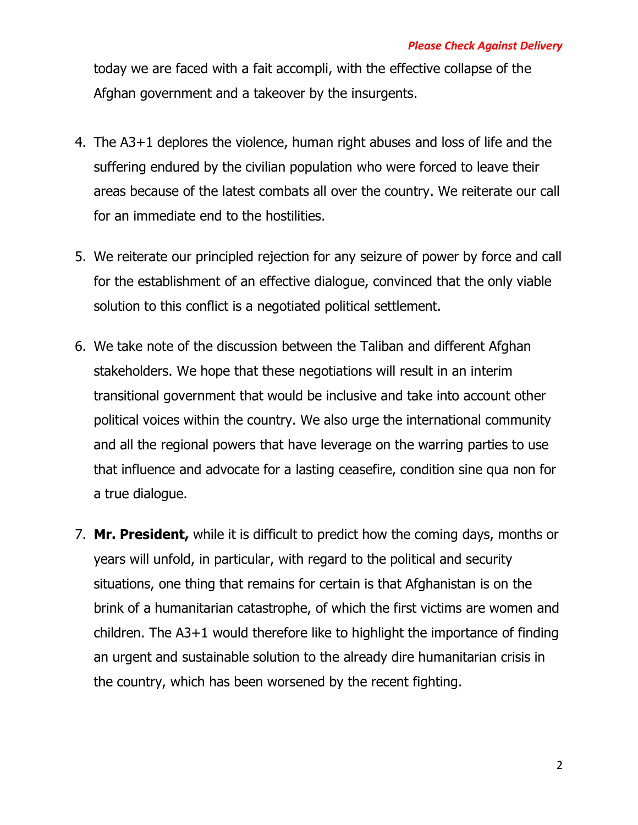today we are faced with a fait accompli, with the effective collapse of the Afghan government and a takeover by the insurgents.

- 4. The A3+1 deplores the violence, human right abuses and loss of life and the suffering endured by the civilian population who were forced to leave their areas because of the latest combats all over the country. We reiterate our call for an immediate end to the hostilities.
- 5. We reiterate our principled rejection for any seizure of power by force and call for the establishment of an effective dialogue, convinced that the only viable solution to this conflict is a negotiated political settlement.
- 6. We take note of the discussion between the Taliban and different Afghan stakeholders. We hope that these negotiations will result in an interim transitional government that would be inclusive and take into account other political voices within the country. We also urge the international community and all the regional powers that have leverage on the warring parties to use that influence and advocate for a lasting ceasefire, condition sine qua non for a true dialogue.
- 7. **Mr. President,** while it is difficult to predict how the coming days, months or years will unfold, in particular, with regard to the political and security situations, one thing that remains for certain is that Afghanistan is on the brink of a humanitarian catastrophe, of which the first victims are women and children. The A3+1 would therefore like to highlight the importance of finding an urgent and sustainable solution to the already dire humanitarian crisis in the country, which has been worsened by the recent fighting.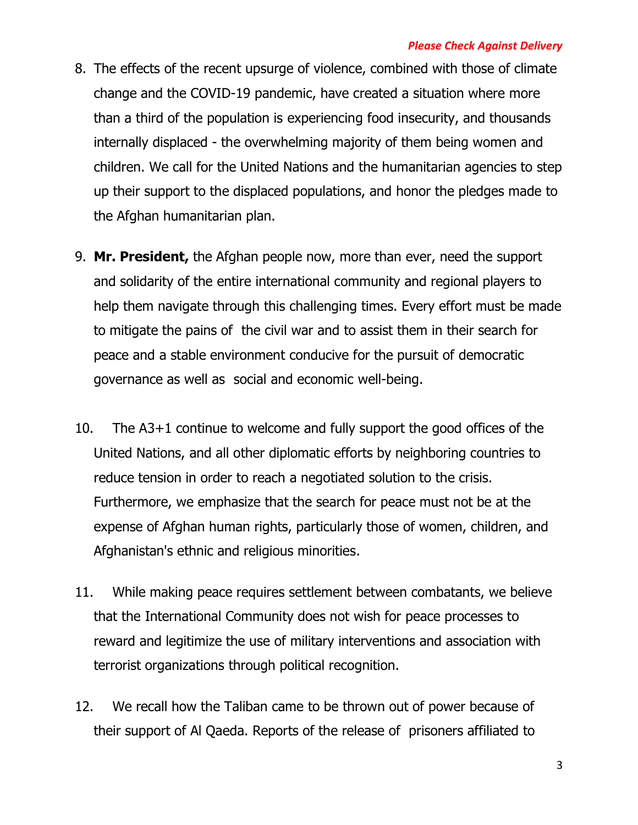#### *Please Check Against Delivery*

- 8. The effects of the recent upsurge of violence, combined with those of climate change and the COVID-19 pandemic, have created a situation where more than a third of the population is experiencing food insecurity, and thousands internally displaced - the overwhelming majority of them being women and children. We call for the United Nations and the humanitarian agencies to step up their support to the displaced populations, and honor the pledges made to the Afghan humanitarian plan.
- 9. **Mr. President,** the Afghan people now, more than ever, need the support and solidarity of the entire international community and regional players to help them navigate through this challenging times. Every effort must be made to mitigate the pains of the civil war and to assist them in their search for peace and a stable environment conducive for the pursuit of democratic governance as well as social and economic well-being.
- 10. The A3+1 continue to welcome and fully support the good offices of the United Nations, and all other diplomatic efforts by neighboring countries to reduce tension in order to reach a negotiated solution to the crisis. Furthermore, we emphasize that the search for peace must not be at the expense of Afghan human rights, particularly those of women, children, and Afghanistan's ethnic and religious minorities.
- 11. While making peace requires settlement between combatants, we believe that the International Community does not wish for peace processes to reward and legitimize the use of military interventions and association with terrorist organizations through political recognition.
- 12. We recall how the Taliban came to be thrown out of power because of their support of Al Qaeda. Reports of the release of prisoners affiliated to